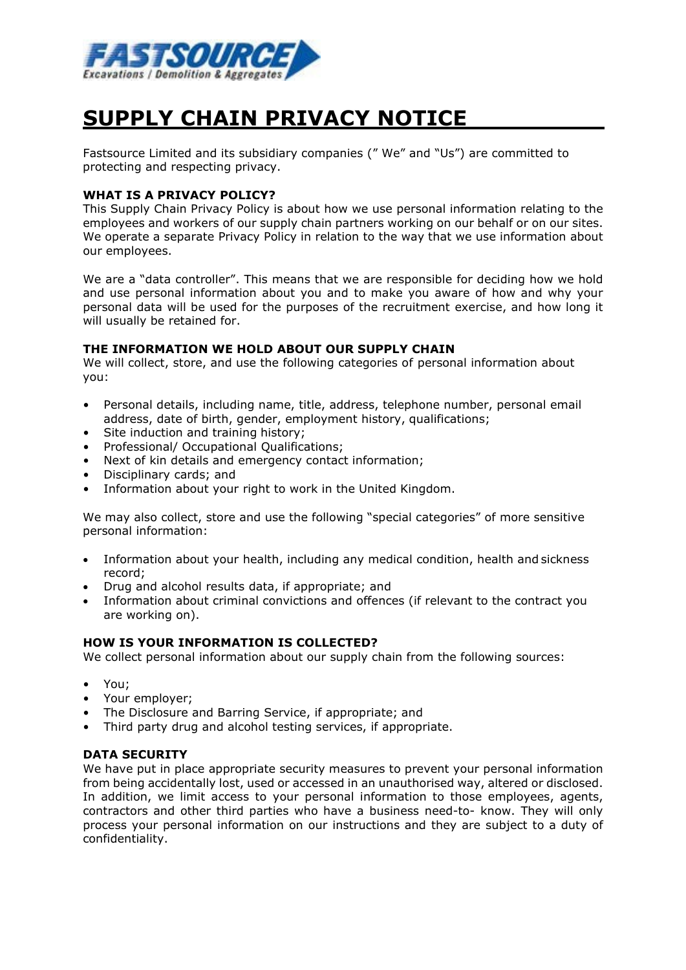

# **SUPPLY CHAIN PRIVACY NOTICE**

Fastsource Limited and its subsidiary companies (" We" and "Us") are committed to protecting and respecting privacy.

## **WHAT IS A PRIVACY POLICY?**

This Supply Chain Privacy Policy is about how we use personal information relating to the employees and workers of our supply chain partners working on our behalf or on our sites. We operate a separate Privacy Policy in relation to the way that we use information about our employees.

We are a "data controller". This means that we are responsible for deciding how we hold and use personal information about you and to make you aware of how and why your personal data will be used for the purposes of the recruitment exercise, and how long it will usually be retained for.

### **THE INFORMATION WE HOLD ABOUT OUR SUPPLY CHAIN**

We will collect, store, and use the following categories of personal information about you:

- Personal details, including name, title, address, telephone number, personal email address, date of birth, gender, employment history, qualifications;
- Site induction and training history;
- Professional/ Occupational Qualifications;
- Next of kin details and emergency contact information;
- Disciplinary cards; and
- Information about your right to work in the United Kingdom.

We may also collect, store and use the following "special categories" of more sensitive personal information:

- Information about your health, including any medical condition, health and sickness record;
- Drug and alcohol results data, if appropriate; and
- Information about criminal convictions and offences (if relevant to the contract you are working on).

#### **HOW IS YOUR INFORMATION IS COLLECTED?**

We collect personal information about our supply chain from the following sources:

- You;
- Your employer;
- The Disclosure and Barring Service, if appropriate; and
- Third party drug and alcohol testing services, if appropriate.

#### **DATA SECURITY**

We have put in place appropriate security measures to prevent your personal information from being accidentally lost, used or accessed in an unauthorised way, altered or disclosed. In addition, we limit access to your personal information to those employees, agents, contractors and other third parties who have a business need-to- know. They will only process your personal information on our instructions and they are subject to a duty of confidentiality.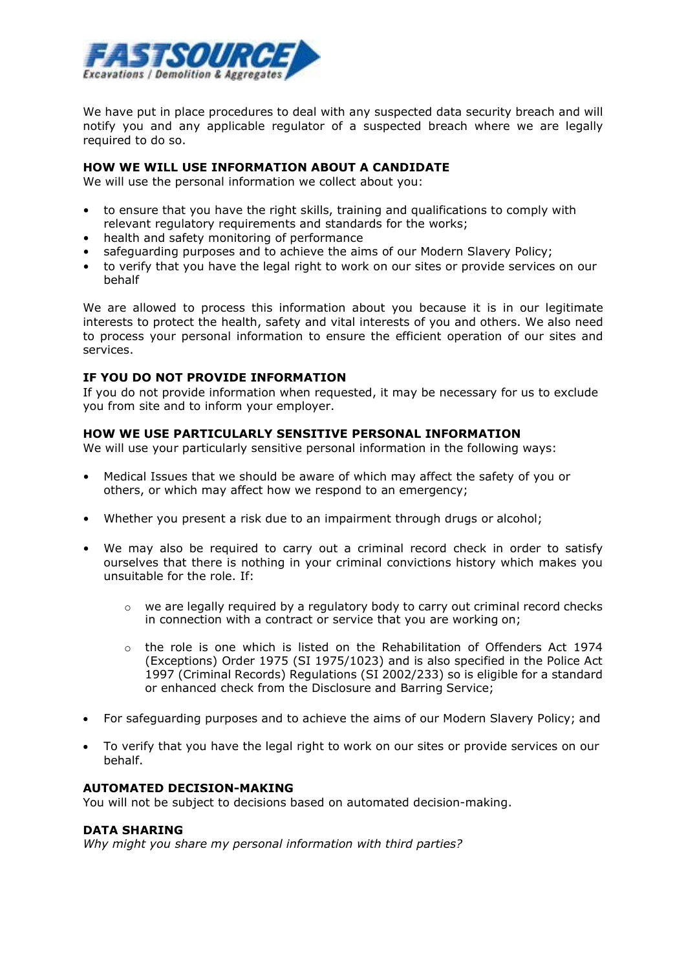

We have put in place procedures to deal with any suspected data security breach and will notify you and any applicable regulator of a suspected breach where we are legally required to do so.

#### **HOW WE WILL USE INFORMATION ABOUT A CANDIDATE**

We will use the personal information we collect about you:

- to ensure that you have the right skills, training and qualifications to comply with relevant regulatory requirements and standards for the works;
- health and safety monitoring of performance
- safeguarding purposes and to achieve the aims of our Modern Slavery Policy;
- to verify that you have the legal right to work on our sites or provide services on our behalf

We are allowed to process this information about you because it is in our legitimate interests to protect the health, safety and vital interests of you and others. We also need to process your personal information to ensure the efficient operation of our sites and services.

## **IF YOU DO NOT PROVIDE INFORMATION**

If you do not provide information when requested, it may be necessary for us to exclude you from site and to inform your employer.

#### **HOW WE USE PARTICULARLY SENSITIVE PERSONAL INFORMATION**

We will use your particularly sensitive personal information in the following ways:

- Medical Issues that we should be aware of which may affect the safety of you or others, or which may affect how we respond to an emergency;
- Whether you present a risk due to an impairment through drugs or alcohol;
- We may also be required to carry out a criminal record check in order to satisfy ourselves that there is nothing in your criminal convictions history which makes you unsuitable for the role. If:
	- $\circ$  we are legally required by a regulatory body to carry out criminal record checks in connection with a contract or service that you are working on;
	- o the role is one which is listed on the Rehabilitation of Offenders Act 1974 (Exceptions) Order 1975 (SI 1975/1023) and is also specified in the Police Act 1997 (Criminal Records) Regulations (SI 2002/233) so is eligible for a standard or enhanced check from the Disclosure and Barring Service;
- For safeguarding purposes and to achieve the aims of our Modern Slavery Policy; and
- To verify that you have the legal right to work on our sites or provide services on our behalf.

## **AUTOMATED DECISION-MAKING**

You will not be subject to decisions based on automated decision-making.

#### **DATA SHARING**

*Why might you share my personal information with third parties?*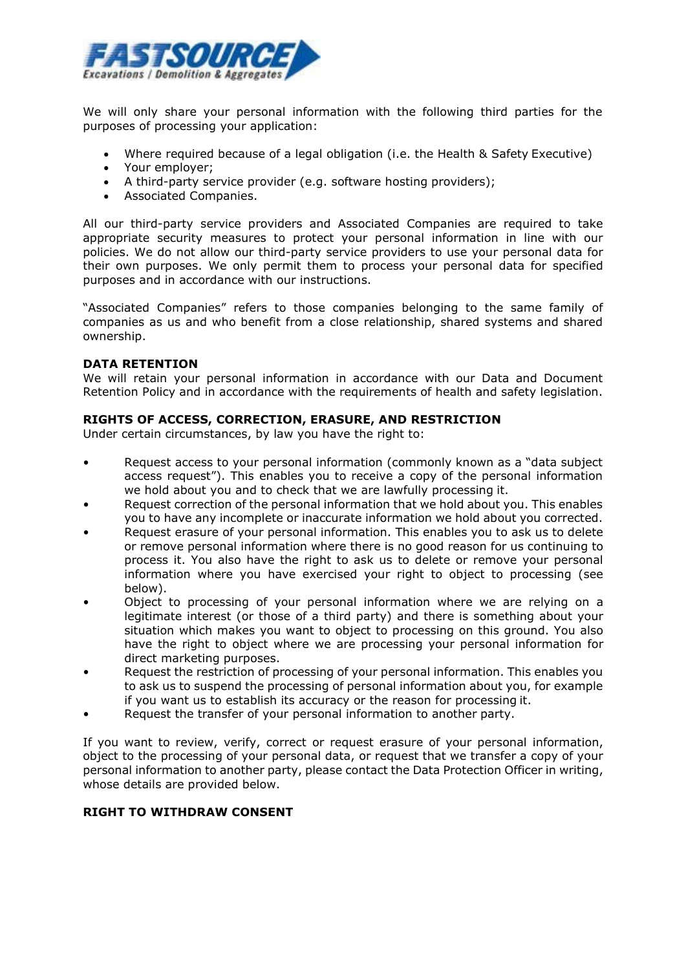

We will only share your personal information with the following third parties for the purposes of processing your application:

- Where required because of a legal obligation (i.e. the Health & Safety Executive)
- Your employer;
- A third-party service provider (e.g. software hosting providers);
- Associated Companies.

All our third-party service providers and Associated Companies are required to take appropriate security measures to protect your personal information in line with our policies. We do not allow our third-party service providers to use your personal data for their own purposes. We only permit them to process your personal data for specified purposes and in accordance with our instructions.

"Associated Companies" refers to those companies belonging to the same family of companies as us and who benefit from a close relationship, shared systems and shared ownership.

## **DATA RETENTION**

We will retain your personal information in accordance with our Data and Document Retention Policy and in accordance with the requirements of health and safety legislation.

## **RIGHTS OF ACCESS, CORRECTION, ERASURE, AND RESTRICTION**

Under certain circumstances, by law you have the right to:

- Request access to your personal information (commonly known as a "data subject access request"). This enables you to receive a copy of the personal information we hold about you and to check that we are lawfully processing it.
- Request correction of the personal information that we hold about you. This enables you to have any incomplete or inaccurate information we hold about you corrected.
- Request erasure of your personal information. This enables you to ask us to delete or remove personal information where there is no good reason for us continuing to process it. You also have the right to ask us to delete or remove your personal information where you have exercised your right to object to processing (see below).
- Object to processing of your personal information where we are relying on a legitimate interest (or those of a third party) and there is something about your situation which makes you want to object to processing on this ground. You also have the right to object where we are processing your personal information for direct marketing purposes.
- Request the restriction of processing of your personal information. This enables you to ask us to suspend the processing of personal information about you, for example if you want us to establish its accuracy or the reason for processing it.
- Request the transfer of your personal information to another party.

If you want to review, verify, correct or request erasure of your personal information, object to the processing of your personal data, or request that we transfer a copy of your personal information to another party, please contact the Data Protection Officer in writing, whose details are provided below.

## **RIGHT TO WITHDRAW CONSENT**